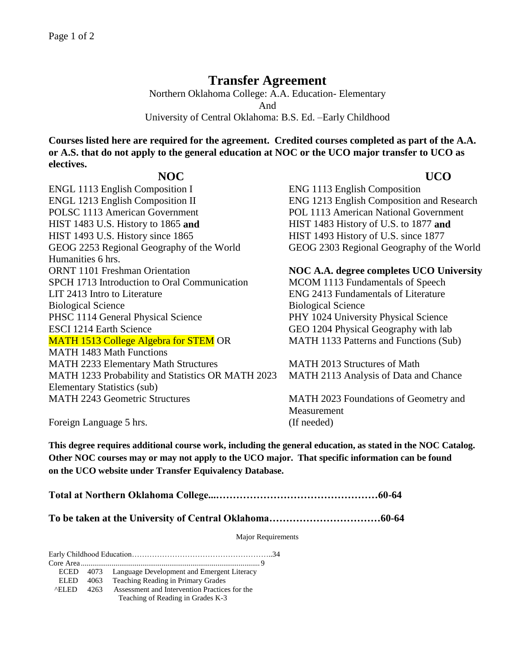## **Transfer Agreement**

Northern Oklahoma College: A.A. Education- Elementary And University of Central Oklahoma: B.S. Ed. –Early Childhood

**Courses listed here are required for the agreement. Credited courses completed as part of the A.A. or A.S. that do not apply to the general education at NOC or the UCO major transfer to UCO as electives.** 

## **NOC UCO**

ENGL 1113 English Composition I ENG 1113 English Composition ENGL 1213 English Composition II ENG 1213 English Composition and Research POLSC 1113 American Government POL 1113 American National Government HIST 1483 U.S. History to 1865 **and** HIST 1483 History of U.S. to 1877 **and** HIST 1493 U.S. History since 1865 HIST 1493 History of U.S. since 1877 GEOG 2253 Regional Geography of the World GEOG 2303 Regional Geography of the World Humanities 6 hrs. ORNT 1101 Freshman Orientation **NOC A.A. degree completes UCO University** SPCH 1713 Introduction to Oral Communication MCOM 1113 Fundamentals of Speech LIT 2413 Intro to Literature ENG 2413 Fundamentals of Literature Biological Science Biological Science PHSC 1114 General Physical Science PHY 1024 University Physical Science ESCI 1214 Earth Science GEO 1204 Physical Geography with lab MATH 1513 College Algebra for STEM OR MATH 1483 Math Functions MATH 2233 Elementary Math Structures MATH 2013 Structures of Math MATH 1233 Probability and Statistics OR MATH 2023 Elementary Statistics (sub) MATH 2243 Geometric Structures MATH 2023 Foundations of Geometry and

MATH 1133 Patterns and Functions (Sub)

MATH 2113 Analysis of Data and Chance

**Measurement** Foreign Language 5 hrs. (If needed)

**This degree requires additional course work, including the general education, as stated in the NOC Catalog. Other NOC courses may or may not apply to the UCO major. That specific information can be found on the UCO website under Transfer Equivalency Database.**

**Total at Northern Oklahoma College...…………………………………………60-64**

**To be taken at the University of Central Oklahoma……………………………60-64**

Major Requirements

Early Childhood Education………………………………………………..34

Core Area ............................................................................................. 9

ECED 4073 Language Development and Emergent Literacy

ELED 4063 Teaching Reading in Primary Grades

 ^ELED 4263 Assessment and Intervention Practices for the Teaching of Reading in Grades K-3